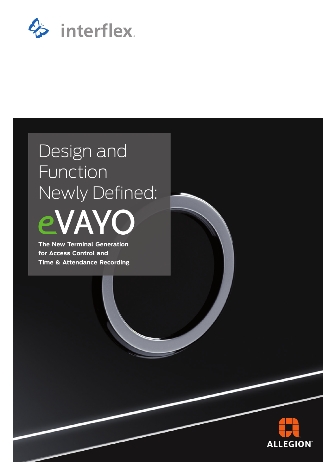

# Design and Function Newly Defined:



**The New Terminal Generation for Access Control and Time & Attendance Recording**

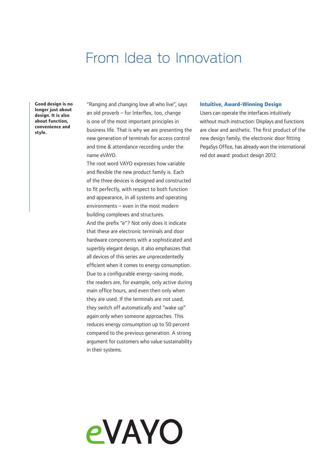### From Idea to Innovation

**Good design is no longer just about design. It is also about function, convenience and style.**

"Ranging and changing love all who live", says an old proverb – for Interflex, too, change is one of the most important principles in business life. That is why we are presenting the new generation of terminals for access control and time & attendance recording under the name eVAYO.

The root word VAYO expresses how variable and flexible the new product family is. Each of the three devices is designed and constructed to fit perfectly, with respect to both function and appearance, in all systems and operating environments – even in the most modern building complexes and structures. And the prefix "e"? Not only does it indicate that these are electronic terminals and door hardware components with a sophisticated and superbly elegant design, it also emphasizes that all devices of this series are unprecedentedly efficient when it comes to energy consumption. Due to a configurable energy-saving mode, the readers are, for example, only active during main office hours, and even then only when they are used. If the terminals are not used, they switch off automatically and "wake up" again only when someone approaches. This reduces energy consumption up to 50 percent compared to the previous generation. A strong argument for customers who value sustainability in their systems.

eVAYO

### **Intuitive, Award-Winning Design**

Users can operate the interfaces intuitively without much instruction: Displays and functions are clear and aesthetic. The first product of the new design family, the electronic door fitting PegaSys Office, has already won the international red dot award: product design 2012.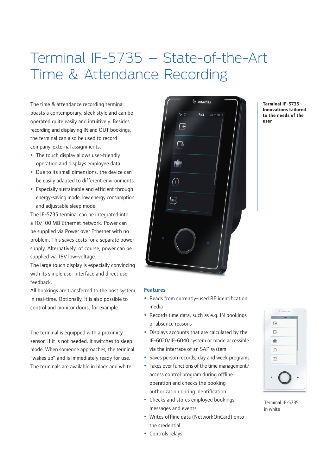## Terminal IF-5735 – State-of-the-Art Time & Attendance Recording

The time & attendance recording terminal boasts a contemporary, sleek style and can be operated quite easily and intuitively. Besides recording and displaying IN and OUT bookings, the terminal can also be used to record company-external assignments.

- The touch display allows user-friendly operation and displays employee data.
- Due to its small dimensions, the device can be easily adapted to different environments.
- Especially sustainable and efficient through energy-saving mode, low energy consumption and adjustable sleep mode.

The IF-5735 terminal can be integrated into a 10/100 MB Ethernet network. Power can be supplied via Power over Ethernet with no problem. This saves costs for a separate power supply. Alternatively, of course, power can be supplied via 18V low-voltage.

The large touch display is especially convincing with its simple user interface and direct user feedback.

All bookings are transferred to the host system in real-time. Optionally, it is also possible to control and monitor doors, for example.

The terminal is equipped with a proximity sensor. If it is not needed, it switches to sleep mode. When someone approaches, the terminal "wakes up" and is immediately ready for use. The terminals are available in black and white.



#### **Terminal IF-5735 - Innovations tailored to the needs of the user**

#### **Features**

- Reads from currently-used RF identification media
- Records time data, such as e.g. IN bookings or absence reasons
- Displays accounts that are calculated by the IF-6020/IF-6040 system or made accessible via the interface of an SAP system
- Saves person records, day and week programs
- Takes over functions of the time management/ access control program during offline operation and checks the booking authorization during identification
- Checks and stores employee bookings, messages and events
- Writes offline data (NetworkOnCard) onto the credential
- Controls relays



Terminal IF-5735 in white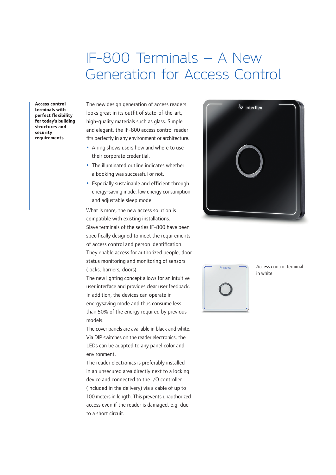### IF-800 Terminals – A New Generation for Access Control

**Access control terminals with perfect flexibility for today's building structures and security requirements**

The new design generation of access readers looks great in its outfit of state-of-the-art, high-quality materials such as glass. Simple and elegant, the IF-800 access control reader fits perfectly in any environment or architecture.

- A ring shows users how and where to use their corporate credential.
- The illuminated outline indicates whether a booking was successful or not.
- Especially sustainable and efficient through energy-saving mode, low energy consumption and adjustable sleep mode.

What is more, the new access solution is compatible with existing installations. Slave terminals of the series IF-800 have been specifically designed to meet the requirements of access control and person identification. They enable access for authorized people, door status monitoring and monitoring of sensors (locks, barriers, doors).

The new lighting concept allows for an intuitive user interface and provides clear user feedback. In addition, the devices can operate in energysaving mode and thus consume less than 50% of the energy required by previous models.

The cover panels are available in black and white. Via DIP switches on the reader electronics, the LEDs can be adapted to any panel color and environment.

The reader electronics is preferably installed in an unsecured area directly next to a locking device and connected to the I/O controller (included in the delivery) via a cable of up to 100 meters in length. This prevents unauthorized access even if the reader is damaged, e.g. due to a short circuit.





Access control terminal in white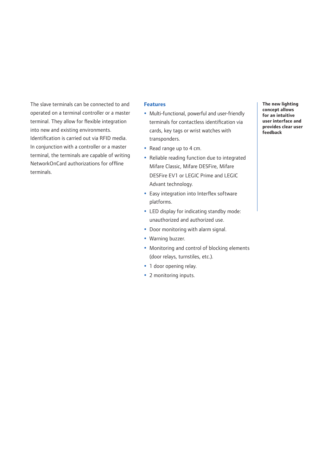The slave terminals can be connected to and operated on a terminal controller or a master terminal. They allow for flexible integration into new and existing environments. Identification is carried out via RFID media. In conjunction with a controller or a master terminal, the terminals are capable of writing NetworkOnCard authorizations for offline terminals.

#### **Features**

- Multi-functional, powerful and user-friendly terminals for contactless identification via cards, key tags or wrist watches with transponders.
- Read range up to 4 cm.
- Reliable reading function due to integrated Mifare Classic, Mifare DESFire, Mifare DESFire EV1 or LEGIC Prime and LEGIC Advant technology.
- Easy integration into Interflex software platforms.
- LED display for indicating standby mode: unauthorized and authorized use.
- Door monitoring with alarm signal.
- Warning buzzer.
- Monitoring and control of blocking elements (door relays, turnstiles, etc.).
- 1 door opening relay.
- 2 monitoring inputs.

**The new lighting concept allows for an intuitive user interface and provides clear user feedback**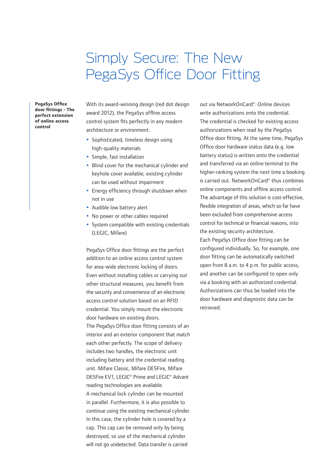### Simply Secure: The New PegaSys Office Door Fitting

**PegaSys Office door fittings - The perfect extension of online access control**

With its award-winning design (red dot design award 2012), the PegaSys offline access control system fits perfectly in any modern architecture or environment.

- Sophisticated, timeless design using high-quality materials
- Simple, fast installation
- Blind cover for the mechanical cylinder and keyhole cover available; existing cylinder can be used without impairment
- Energy efficiency through shutdown when not in use
- Audible low battery alert
- No power or other cables required
- System compatible with existing credentials (LEGIC, Mifare)

PegaSys Office door fittings are the perfect addition to an online access control system for area-wide electronic locking of doors. Even without installing cables or carrying out other structural measures, you benefit from the security and convenience of an electronic access control solution based on an RFID credential. You simply mount the electronic door hardware on existing doors. The PegaSys Office door fitting consists of an interior and an exterior component that match each other perfectly. The scope of delivery includes two handles, the electronic unit including battery and the credential reading unit. Mifare Classic, Mifare DESFire, Mifare DESFire EV1, LEGIC® Prime and LEGIC® Advant reading technologies are available. A mechanical lock cylinder can be mounted in parallel. Furthermore, it is also possible to

continue using the existing mechanical cylinder. In this case, the cylinder hole is covered by a cap. This cap can be removed only by being destroyed, so use of the mechanical cylinder will not go undetected. Data transfer is carried

out via NetworkOnCard®. Online devices write authorizations onto the credential. The credential is checked for existing access authorizations when read by the PegaSys Office door fitting. At the same time, PegaSys Office door hardware status data (e.g. low battery status) is written onto the credential and transferred via an online terminal to the higher-ranking system the next time a booking is carried out. NetworkOnCard® thus combines online components and offline access control. The advantage of this solution is cost-effective, flexible integration of areas, which so far have been excluded from comprehensive access control for technical or financial reasons, into the existing security architecture. Each PegaSys Office door fitting can be configured individually. So, for example, one door fitting can be automatically switched open from 8 a.m. to 4 p.m. for public access, and another can be configured to open only via a booking with an authorized credential. Authorizations can thus be loaded into the door hardware and diagnostic data can be retrieved.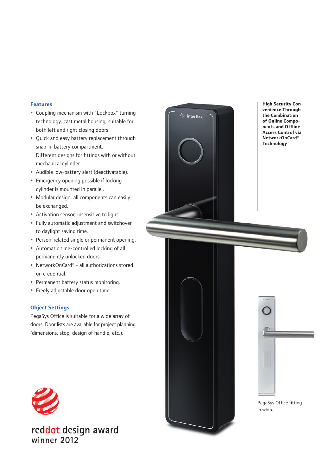### **Features**

- Coupling mechanism with "Lockbox" turning technology, cast metal housing, suitable for both left and right closing doors.
- Quick and easy battery replacement through snap-in battery compartment. Different designs for fittings with or without mechanical cylinder.
- Audible low-battery alert (deactivatable).
- Emergency opening possible if locking cylinder is mounted in parallel.
- Modular design, all components can easily be exchanged.
- Activation sensor, insensitive to light.
- Fully automatic adjustment and switchover to daylight saving time.
- Person-related single or permanent opening.
- Automatic time-controlled locking of all permanently unlocked doors.
- NetworkOnCard® all authorizations stored on credential.
- Permanent battery status monitoring.
- Freely adjustable door open time.

### **Object Settings**

PegaSys Office is suitable for a wide array of doors. Door lists are available for project planning (dimensions, stop, design of handle, etc.).



reddot design award winner 2012



**High Security Convenience Through the Combination of Online Components and Offline Access Control via NetworkOnCard® Technology**



PegaSys Office fitting in white